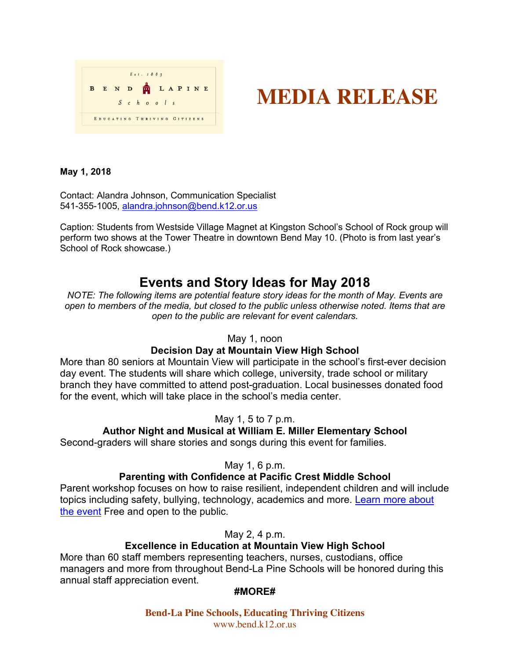|              |  | Est. 1883                   |  |  |            |  |  |  |  |  |  |  |
|--------------|--|-----------------------------|--|--|------------|--|--|--|--|--|--|--|
| $\mathbf{B}$ |  | END TLAPINE                 |  |  |            |  |  |  |  |  |  |  |
|              |  |                             |  |  | $S$ chools |  |  |  |  |  |  |  |
|              |  | EDUCATING THRIVING CITIZENS |  |  |            |  |  |  |  |  |  |  |

# **MEDIA RELEASE**

#### **May 1, 2018**

Contact: Alandra Johnson, Communication Specialist 541-355-1005, alandra.johnson@bend.k12.or.us

Caption: Students from Westside Village Magnet at Kingston School's School of Rock group will perform two shows at the Tower Theatre in downtown Bend May 10. (Photo is from last year's School of Rock showcase.)

# **Events and Story Ideas for May 2018**

*NOTE: The following items are potential feature story ideas for the month of May. Events are open to members of the media, but closed to the public unless otherwise noted. Items that are open to the public are relevant for event calendars.*

May 1, noon

# **Decision Day at Mountain View High School**

More than 80 seniors at Mountain View will participate in the school's first-ever decision day event. The students will share which college, university, trade school or military branch they have committed to attend post-graduation. Local businesses donated food for the event, which will take place in the school's media center.

# May 1, 5 to 7 p.m.

# **Author Night and Musical at William E. Miller Elementary School**

Second-graders will share stories and songs during this event for families.

# May 1, 6 p.m.

# **Parenting with Confidence at Pacific Crest Middle School**

Parent workshop focuses on how to raise resilient, independent children and will include topics including safety, bullying, technology, academics and more. Learn more about the event Free and open to the public.

May 2, 4 p.m.

# **Excellence in Education at Mountain View High School**

More than 60 staff members representing teachers, nurses, custodians, office managers and more from throughout Bend-La Pine Schools will be honored during this annual staff appreciation event.

# **#MORE#**

**Bend-La Pine Schools, Educating Thriving Citizens** www.bend.k12.or.us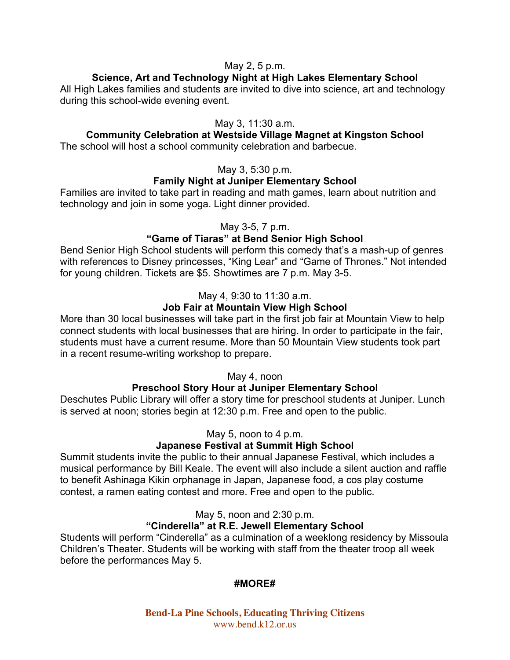# May 2, 5 p.m.

# **Science, Art and Technology Night at High Lakes Elementary School**

All High Lakes families and students are invited to dive into science, art and technology during this school-wide evening event.

# May 3, 11:30 a.m.

# **Community Celebration at Westside Village Magnet at Kingston School**

The school will host a school community celebration and barbecue.

# May 3, 5:30 p.m.

# **Family Night at Juniper Elementary School**

Families are invited to take part in reading and math games, learn about nutrition and technology and join in some yoga. Light dinner provided.

# May 3-5, 7 p.m.

# **"Game of Tiaras" at Bend Senior High School**

Bend Senior High School students will perform this comedy that's a mash-up of genres with references to Disney princesses, "King Lear" and "Game of Thrones." Not intended for young children. Tickets are \$5. Showtimes are 7 p.m. May 3-5.

# May 4, 9:30 to 11:30 a.m.

# **Job Fair at Mountain View High School**

More than 30 local businesses will take part in the first job fair at Mountain View to help connect students with local businesses that are hiring. In order to participate in the fair, students must have a current resume. More than 50 Mountain View students took part in a recent resume-writing workshop to prepare.

# May 4, noon

# **Preschool Story Hour at Juniper Elementary School**

Deschutes Public Library will offer a story time for preschool students at Juniper. Lunch is served at noon; stories begin at 12:30 p.m. Free and open to the public.

# May 5, noon to 4 p.m.

# **Japanese Festival at Summit High School**

Summit students invite the public to their annual Japanese Festival, which includes a musical performance by Bill Keale. The event will also include a silent auction and raffle to benefit Ashinaga Kikin orphanage in Japan, Japanese food, a cos play costume contest, a ramen eating contest and more. Free and open to the public.

May 5, noon and 2:30 p.m.

# **"Cinderella" at R.E. Jewell Elementary School**

Students will perform "Cinderella" as a culmination of a weeklong residency by Missoula Children's Theater. Students will be working with staff from the theater troop all week before the performances May 5.

# **#MORE#**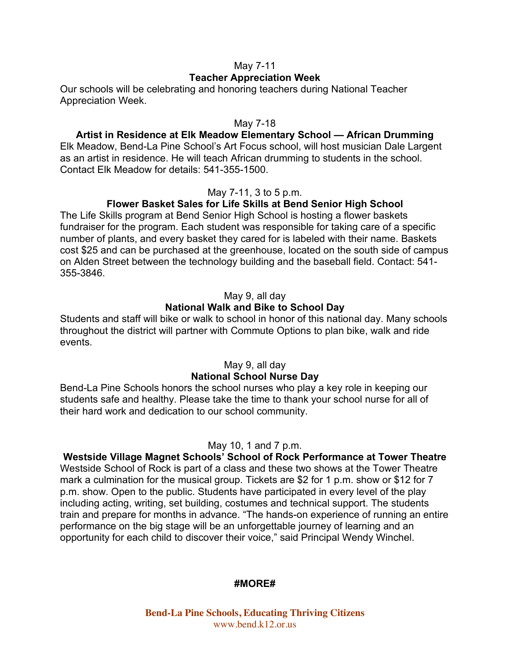## May 7-11

## **Teacher Appreciation Week**

Our schools will be celebrating and honoring teachers during National Teacher Appreciation Week.

#### May 7-18

# **Artist in Residence at Elk Meadow Elementary School — African Drumming**

Elk Meadow, Bend-La Pine School's Art Focus school, will host musician Dale Largent as an artist in residence. He will teach African drumming to students in the school. Contact Elk Meadow for details: 541-355-1500.

# May 7-11, 3 to 5 p.m.

# **Flower Basket Sales for Life Skills at Bend Senior High School**

The Life Skills program at Bend Senior High School is hosting a flower baskets fundraiser for the program. Each student was responsible for taking care of a specific number of plants, and every basket they cared for is labeled with their name. Baskets cost \$25 and can be purchased at the greenhouse, located on the south side of campus on Alden Street between the technology building and the baseball field. Contact: 541- 355-3846.

#### May 9, all day

# **National Walk and Bike to School Day**

Students and staff will bike or walk to school in honor of this national day. Many schools throughout the district will partner with Commute Options to plan bike, walk and ride events.

#### May 9, all day **National School Nurse Day**

Bend-La Pine Schools honors the school nurses who play a key role in keeping our students safe and healthy. Please take the time to thank your school nurse for all of their hard work and dedication to our school community.

#### May 10, 1 and 7 p.m.

**Westside Village Magnet Schools' School of Rock Performance at Tower Theatre** Westside School of Rock is part of a class and these two shows at the Tower Theatre mark a culmination for the musical group. Tickets are \$2 for 1 p.m. show or \$12 for 7 p.m. show. Open to the public. Students have participated in every level of the play including acting, writing, set building, costumes and technical support. The students train and prepare for months in advance. "The hands-on experience of running an entire performance on the big stage will be an unforgettable journey of learning and an opportunity for each child to discover their voice," said Principal Wendy Winchel.

#### **#MORE#**

**Bend-La Pine Schools, Educating Thriving Citizens** www.bend.k12.or.us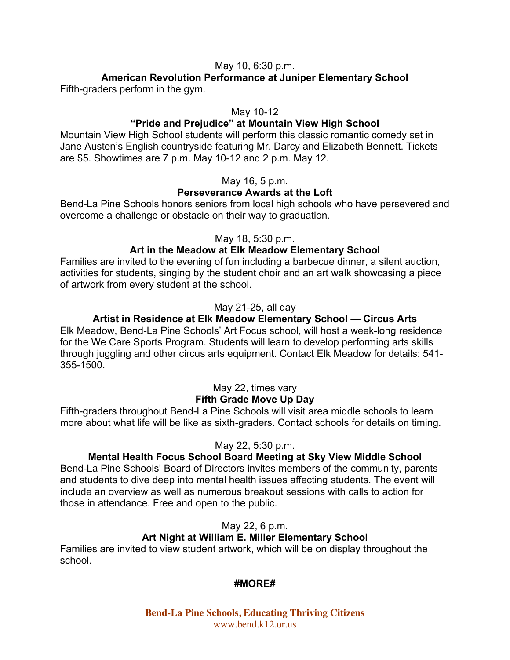# May 10, 6:30 p.m.

#### **American Revolution Performance at Juniper Elementary School** Fifth-graders perform in the gym.

#### May 10-12

#### **"Pride and Prejudice" at Mountain View High School**

Mountain View High School students will perform this classic romantic comedy set in Jane Austen's English countryside featuring Mr. Darcy and Elizabeth Bennett. Tickets are \$5. Showtimes are 7 p.m. May 10-12 and 2 p.m. May 12.

#### May 16, 5 p.m.

## **Perseverance Awards at the Loft**

Bend-La Pine Schools honors seniors from local high schools who have persevered and overcome a challenge or obstacle on their way to graduation.

#### May 18, 5:30 p.m.

#### **Art in the Meadow at Elk Meadow Elementary School**

Families are invited to the evening of fun including a barbecue dinner, a silent auction, activities for students, singing by the student choir and an art walk showcasing a piece of artwork from every student at the school.

#### May 21-25, all day

## **Artist in Residence at Elk Meadow Elementary School — Circus Arts**

Elk Meadow, Bend-La Pine Schools' Art Focus school, will host a week-long residence for the We Care Sports Program. Students will learn to develop performing arts skills through juggling and other circus arts equipment. Contact Elk Meadow for details: 541- 355-1500.

# May 22, times vary

# **Fifth Grade Move Up Day**

Fifth-graders throughout Bend-La Pine Schools will visit area middle schools to learn more about what life will be like as sixth-graders. Contact schools for details on timing.

#### May 22, 5:30 p.m.

#### **Mental Health Focus School Board Meeting at Sky View Middle School**

Bend-La Pine Schools' Board of Directors invites members of the community, parents and students to dive deep into mental health issues affecting students. The event will include an overview as well as numerous breakout sessions with calls to action for those in attendance. Free and open to the public.

#### May 22, 6 p.m.

#### **Art Night at William E. Miller Elementary School**

Families are invited to view student artwork, which will be on display throughout the school.

#### **#MORE#**

**Bend-La Pine Schools, Educating Thriving Citizens** www.bend.k12.or.us